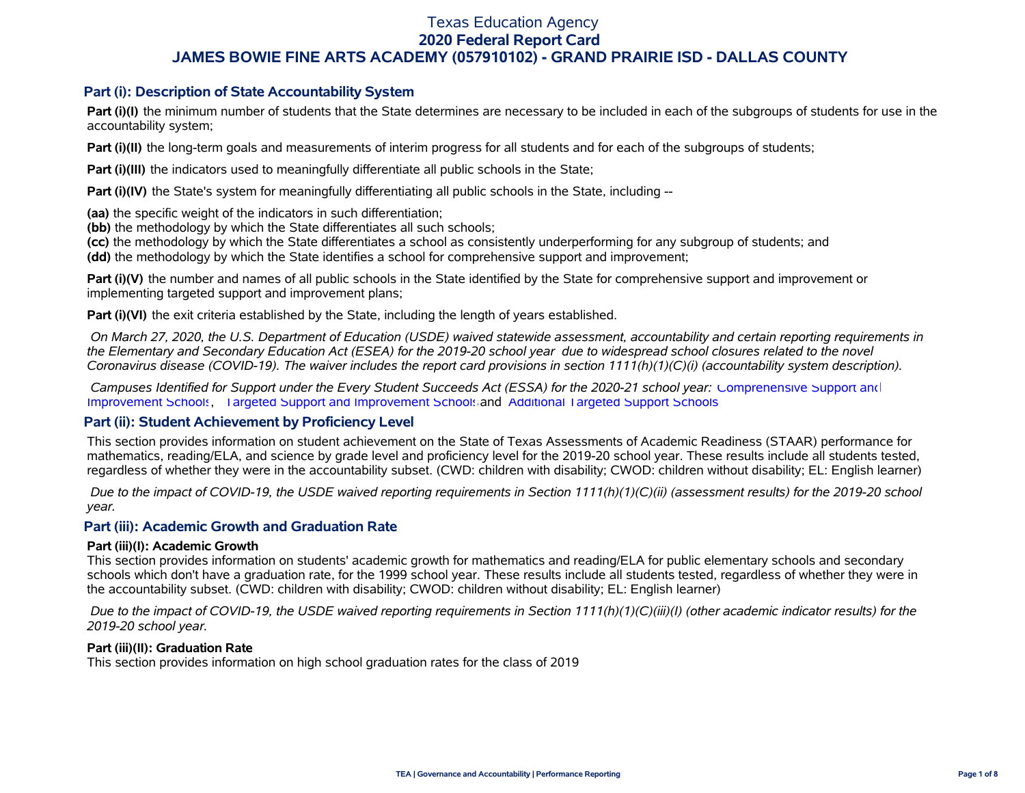### **Part (i): Description of State Accountability System**

**Part (i)(I)** the minimum number of students that the State determines are necessary to be included in each of the subgroups of students for use in the accountability system;

**Part (i)(II)** the long-term goals and measurements of interim progress for all students and for each of the subgroups of students;

**Part (i)(III)** the indicators used to meaningfully differentiate all public schools in the State;

**Part (i)(IV)** the State's system for meaningfully differentiating all public schools in the State, including --

**(aa)** the specific weight of the indicators in such differentiation;

**(bb)** the methodology by which the State differentiates all such schools;

**(cc)** the methodology by which the State differentiates a school as consistently underperforming for any subgroup of students; and

**(dd)** the methodology by which the State identifies a school for comprehensive support and improvement;

**Part (i)(V)** the number and names of all public schools in the State identified by the State for comprehensive support and improvement or implementing targeted support and improvement plans;

**Part (i)(VI)** the exit criteria established by the State, including the length of years established.

 *On March 27, 2020, the U.S. Department of Education (USDE) waived statewide assessment, accountability and certain reporting requirements in the Elementary and Secondary Education Act (ESEA) for the 2019-20 school year due to widespread school closures related to the novel Coronavirus disease (COVID-19). The waiver includes the report card provisions in section 1111(h)(1)(C)(i) (accountability system description).* 

 *Campuses Identified for Support under the Every Student Succeeds Act (ESSA) for the 2020-21 school year:* [Comprehensive Support and](https://tea.texas.gov/sites/default/files/comprehensive_support_2020.xlsx) [Improvement Schools](https://tea.texas.gov/sites/default/files/comprehensive_support_2020.xlsx), [Targeted Support and Improvement Schools](https://tea.texas.gov/sites/default/files/targeted_support_2020.xlsx) and [Additional Targeted Support Schools.](https://tea.texas.gov/sites/default/files/additional_targeted_support_2020.xlsx)

### **Part (ii): Student Achievement by Proficiency Level**

This section provides information on student achievement on the State of Texas Assessments of Academic Readiness (STAAR) performance for mathematics, reading/ELA, and science by grade level and proficiency level for the 2019-20 school year. These results include all students tested, regardless of whether they were in the accountability subset. (CWD: children with disability; CWOD: children without disability; EL: English learner)

 *Due to the impact of COVID-19, the USDE waived reporting requirements in Section 1111(h)(1)(C)(ii) (assessment results) for the 2019-20 school year.*

### **Part (iii): Academic Growth and Graduation Rate**

#### **Part (iii)(I): Academic Growth**

This section provides information on students' academic growth for mathematics and reading/ELA for public elementary schools and secondary schools which don't have a graduation rate, for the 1999 school year. These results include all students tested, regardless of whether they were in the accountability subset. (CWD: children with disability; CWOD: children without disability; EL: English learner)

 *Due to the impact of COVID-19, the USDE waived reporting requirements in Section 1111(h)(1)(C)(iii)(I) (other academic indicator results) for the 2019-20 school year.*

#### **Part (iii)(II): Graduation Rate**

This section provides information on high school graduation rates for the class of 2019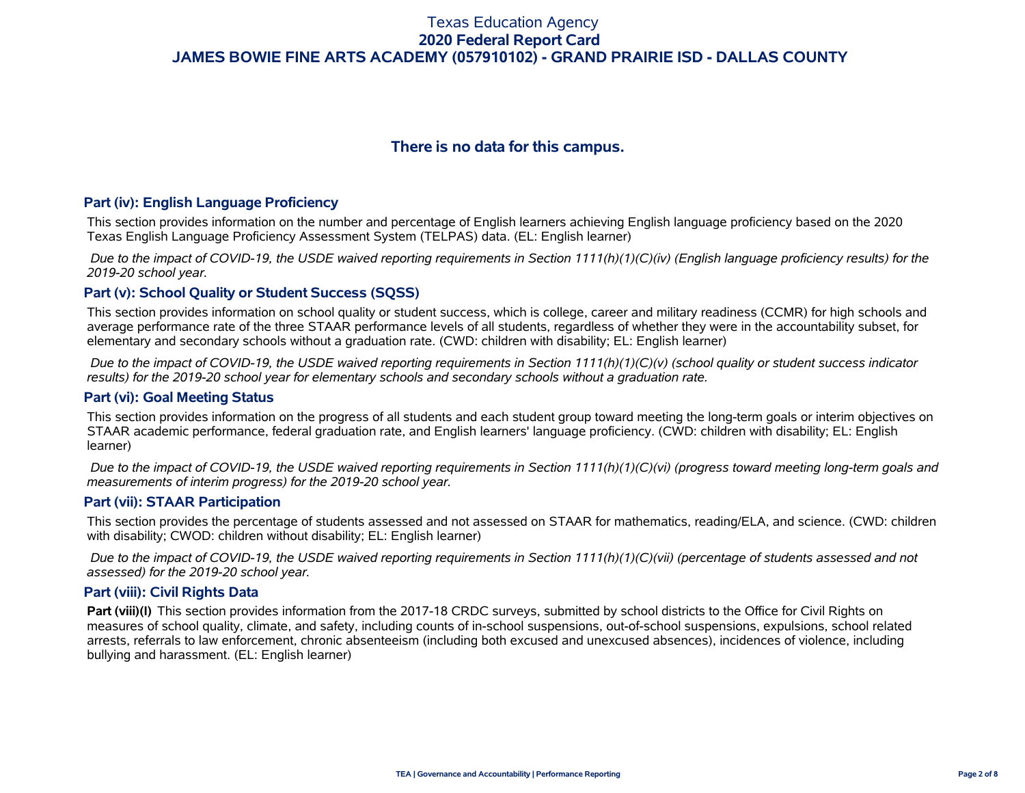# **There is no data for this campus.**

#### **Part (iv): English Language Proficiency**

This section provides information on the number and percentage of English learners achieving English language proficiency based on the 2020 Texas English Language Proficiency Assessment System (TELPAS) data. (EL: English learner)

 *Due to the impact of COVID-19, the USDE waived reporting requirements in Section 1111(h)(1)(C)(iv) (English language proficiency results) for the 2019-20 school year.*

### **Part (v): School Quality or Student Success (SQSS)**

This section provides information on school quality or student success, which is college, career and military readiness (CCMR) for high schools and average performance rate of the three STAAR performance levels of all students, regardless of whether they were in the accountability subset, for elementary and secondary schools without a graduation rate. (CWD: children with disability; EL: English learner)

 *Due to the impact of COVID-19, the USDE waived reporting requirements in Section 1111(h)(1)(C)(v) (school quality or student success indicator results) for the 2019-20 school year for elementary schools and secondary schools without a graduation rate.*

#### **Part (vi): Goal Meeting Status**

This section provides information on the progress of all students and each student group toward meeting the long-term goals or interim objectives on STAAR academic performance, federal graduation rate, and English learners' language proficiency. (CWD: children with disability; EL: English learner)

 *Due to the impact of COVID-19, the USDE waived reporting requirements in Section 1111(h)(1)(C)(vi) (progress toward meeting long-term goals and measurements of interim progress) for the 2019-20 school year.*

#### **Part (vii): STAAR Participation**

This section provides the percentage of students assessed and not assessed on STAAR for mathematics, reading/ELA, and science. (CWD: children with disability; CWOD: children without disability; EL: English learner)

 *Due to the impact of COVID-19, the USDE waived reporting requirements in Section 1111(h)(1)(C)(vii) (percentage of students assessed and not assessed) for the 2019-20 school year.*

#### **Part (viii): Civil Rights Data**

**Part (viii)(I)** This section provides information from the 2017-18 CRDC surveys, submitted by school districts to the Office for Civil Rights on measures of school quality, climate, and safety, including counts of in-school suspensions, out-of-school suspensions, expulsions, school related arrests, referrals to law enforcement, chronic absenteeism (including both excused and unexcused absences), incidences of violence, including bullying and harassment. (EL: English learner)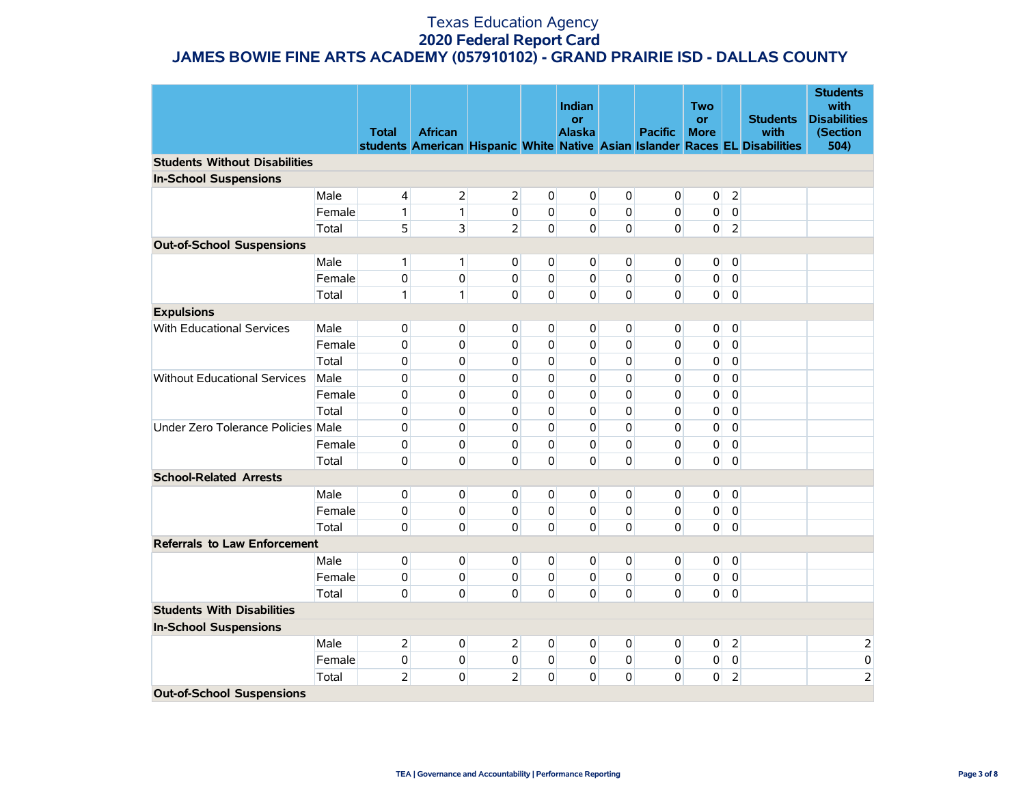|                                      |        | <b>Total</b>   | <b>African</b> |                |                | Indian<br><b>or</b><br><b>Alaska</b> |                | <b>Pacific</b> | <b>Two</b><br><b>or</b><br><b>More</b> |                | <b>Students</b><br>with<br>students American Hispanic White Native Asian Islander Races EL Disabilities | <b>Students</b><br>with<br><b>Disabilities</b><br>(Section<br>504) |
|--------------------------------------|--------|----------------|----------------|----------------|----------------|--------------------------------------|----------------|----------------|----------------------------------------|----------------|---------------------------------------------------------------------------------------------------------|--------------------------------------------------------------------|
| <b>Students Without Disabilities</b> |        |                |                |                |                |                                      |                |                |                                        |                |                                                                                                         |                                                                    |
| <b>In-School Suspensions</b>         |        |                |                |                |                |                                      |                |                |                                        |                |                                                                                                         |                                                                    |
|                                      | Male   | $\overline{4}$ | $\overline{2}$ | $\overline{2}$ | $\mathbf 0$    | $\overline{0}$                       | $\mathbf 0$    | 0              | $\mathbf 0$                            | $\overline{2}$ |                                                                                                         |                                                                    |
|                                      | Female | 1              | $\mathbf{1}$   | 0              | $\mathbf{0}$   | $\Omega$                             | $\mathbf 0$    | 0              | 0                                      | $\mathbf 0$    |                                                                                                         |                                                                    |
|                                      | Total  | 5              | 3              | $\overline{2}$ | $\Omega$       | $\overline{0}$                       | $\mathbf 0$    | $\Omega$       | $\mathbf 0$                            | $\overline{2}$ |                                                                                                         |                                                                    |
| <b>Out-of-School Suspensions</b>     |        |                |                |                |                |                                      |                |                |                                        |                |                                                                                                         |                                                                    |
|                                      | Male   | 1              | $\mathbf{1}$   | 0              | $\overline{0}$ | $\overline{0}$                       | $\overline{0}$ | $\overline{0}$ | 0                                      | $\mathbf 0$    |                                                                                                         |                                                                    |
|                                      | Female | 0              | $\mathbf 0$    | 0              | $\mathbf 0$    | $\overline{0}$                       | $\mathbf 0$    | 0              | $\pmb{0}$                              | $\mathbf 0$    |                                                                                                         |                                                                    |
|                                      | Total  | 1              | $\mathbf{1}$   | $\mathbf{0}$   | 0              | $\Omega$                             | 0              | 0              | 0                                      | $\pmb{0}$      |                                                                                                         |                                                                    |
| <b>Expulsions</b>                    |        |                |                |                |                |                                      |                |                |                                        |                |                                                                                                         |                                                                    |
| With Educational Services            | Male   | 0              | $\overline{0}$ | $\overline{0}$ | $\overline{0}$ | $\overline{0}$                       | $\overline{0}$ | $\overline{0}$ | 0                                      | $\mathbf 0$    |                                                                                                         |                                                                    |
|                                      | Female | 0              | $\mathbf 0$    | 0              | 0              | $\overline{0}$                       | $\Omega$       | 0              | 0                                      | $\mathbf 0$    |                                                                                                         |                                                                    |
|                                      | Total  | 0              | $\mathbf{0}$   | 0              | 0              | $\overline{0}$                       | $\Omega$       | 0              | 0                                      | $\mathbf 0$    |                                                                                                         |                                                                    |
| <b>Without Educational Services</b>  | Male   | 0              | $\mathbf{0}$   | 0              | 0              | $\Omega$                             | $\Omega$       | 0              | 0                                      | $\mathbf 0$    |                                                                                                         |                                                                    |
|                                      | Female | 0              | $\mathbf{0}$   | 0              | 0              | $\Omega$                             | $\Omega$       | 0              | 0                                      | $\mathbf 0$    |                                                                                                         |                                                                    |
|                                      | Total  | $\mathbf 0$    | $\mathbf 0$    | 0              | 0              | $\Omega$                             | $\Omega$       | 0              | 0                                      | $\mathbf 0$    |                                                                                                         |                                                                    |
| Under Zero Tolerance Policies Male   |        | $\mathbf 0$    | $\mathbf 0$    | 0              | 0              | $\Omega$                             | $\mathbf 0$    | 0              | 0                                      | $\mathbf 0$    |                                                                                                         |                                                                    |
|                                      | Female | $\mathbf 0$    | $\mathbf 0$    | 0              | 0              | $\Omega$                             | $\mathbf 0$    | 0              | 0                                      | $\mathbf 0$    |                                                                                                         |                                                                    |
|                                      | Total  | 0              | $\mathbf 0$    | $\mathbf{0}$   | $\overline{0}$ | $\overline{0}$                       | 0              | 0              | 0                                      | $\overline{0}$ |                                                                                                         |                                                                    |
| <b>School-Related Arrests</b>        |        |                |                |                |                |                                      |                |                |                                        |                |                                                                                                         |                                                                    |
|                                      | Male   | $\pmb{0}$      | $\overline{0}$ | $\overline{0}$ | $\overline{0}$ | $\overline{0}$                       | $\overline{0}$ | $\overline{0}$ | 0                                      | $\overline{0}$ |                                                                                                         |                                                                    |
|                                      | Female | $\pmb{0}$      | $\pmb{0}$      | $\overline{0}$ | $\mathbf 0$    | $\overline{0}$                       | $\overline{0}$ | $\overline{0}$ | 0                                      | $\overline{0}$ |                                                                                                         |                                                                    |
|                                      | Total  | $\pmb{0}$      | $\overline{0}$ | $\Omega$       | $\mathbf{0}$   | $\overline{0}$                       | $\overline{0}$ | $\overline{0}$ | $\overline{0}$                         | $\overline{0}$ |                                                                                                         |                                                                    |
| <b>Referrals to Law Enforcement</b>  |        |                |                |                |                |                                      |                |                |                                        |                |                                                                                                         |                                                                    |
|                                      | Male   | $\pmb{0}$      | $\overline{0}$ | $\overline{0}$ | $\overline{0}$ | $\overline{0}$                       | $\overline{0}$ | $\overline{0}$ | $\overline{0}$                         | $\overline{0}$ |                                                                                                         |                                                                    |
|                                      | Female | 0              | 0              | $\overline{0}$ | $\mathbf 0$    | $\overline{0}$                       | $\overline{0}$ | $\overline{0}$ | 0                                      | $\overline{0}$ |                                                                                                         |                                                                    |
|                                      | Total  | 0              | $\mathbf{0}$   | $\Omega$       | $\mathbf{0}$   | $\overline{0}$                       | $\mathbf 0$    | $\overline{0}$ | $\overline{0}$                         | $\overline{0}$ |                                                                                                         |                                                                    |
| <b>Students With Disabilities</b>    |        |                |                |                |                |                                      |                |                |                                        |                |                                                                                                         |                                                                    |
| <b>In-School Suspensions</b>         |        |                |                |                |                |                                      |                |                |                                        |                |                                                                                                         |                                                                    |
|                                      | Male   | 2              | $\overline{0}$ | $\overline{2}$ | $\overline{0}$ | $\overline{0}$                       | $\mathbf{0}$   | $\mathbf{0}$   | $\overline{0}$                         | 2              |                                                                                                         | $\overline{a}$                                                     |
|                                      | Female | 0              | 0              | 0              | $\mathbf{0}$   | $\overline{0}$                       | $\overline{0}$ | $\overline{0}$ | 0                                      | $\mathbf 0$    |                                                                                                         | $\mathbf 0$                                                        |
|                                      | Total  | $\overline{2}$ | $\mathbf{0}$   | $\overline{2}$ | 0              | $\Omega$                             | $\mathbf 0$    | 0              | 0                                      | $\overline{2}$ |                                                                                                         | $\overline{2}$                                                     |
| <b>Out-of-School Suspensions</b>     |        |                |                |                |                |                                      |                |                |                                        |                |                                                                                                         |                                                                    |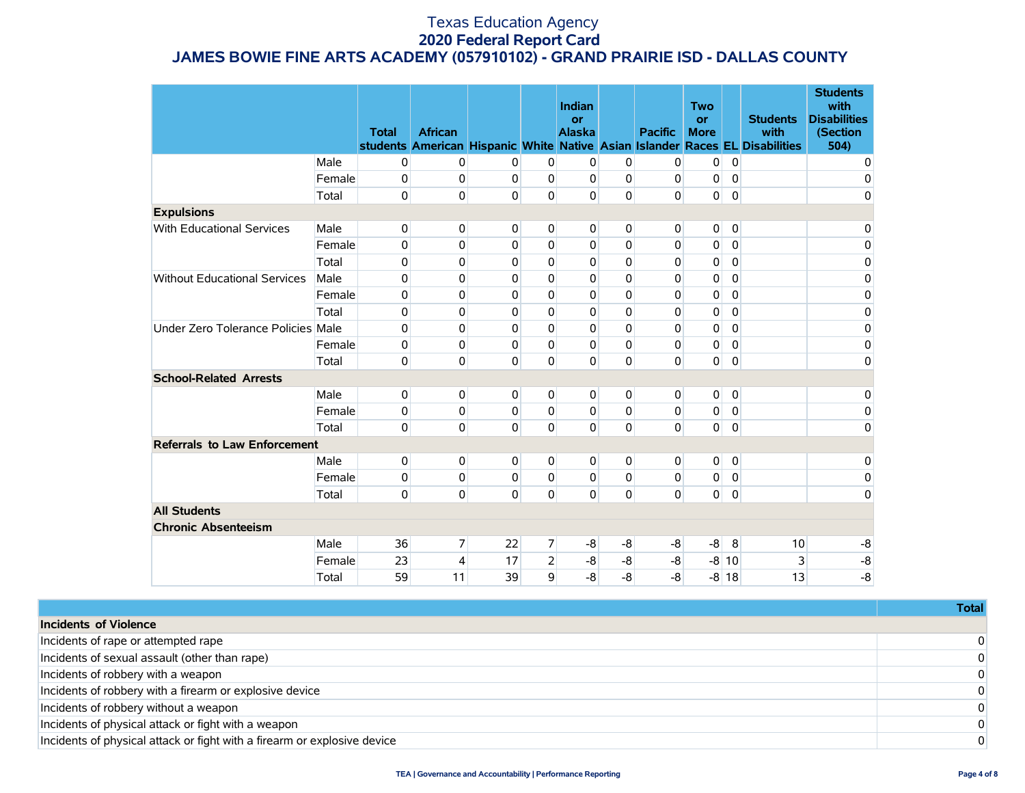|                                     |        | <b>Total</b> | <b>African</b> |          |                | Indian<br><b>or</b><br><b>Alaska</b> |                | <b>Pacific</b> | <b>Two</b><br><b>or</b><br><b>More</b> |             | <b>Students</b><br>with<br>students American Hispanic White Native Asian Islander Races EL Disabilities | <b>Students</b><br>with<br><b>Disabilities</b><br>(Section<br>504) |
|-------------------------------------|--------|--------------|----------------|----------|----------------|--------------------------------------|----------------|----------------|----------------------------------------|-------------|---------------------------------------------------------------------------------------------------------|--------------------------------------------------------------------|
|                                     | Male   | 0            | $\pmb{0}$      | 0        | $\overline{0}$ | 0                                    | $\overline{0}$ | $\mathbf 0$    | 0                                      | $\mathbf 0$ |                                                                                                         | 0                                                                  |
|                                     | Female | 0            | 0              | $\Omega$ | $\Omega$       | 0                                    | $\Omega$       | $\mathbf 0$    | 0                                      | $\mathbf 0$ |                                                                                                         | 0                                                                  |
|                                     | Total  | $\Omega$     | $\Omega$       | 0        | 0              | 0                                    | $\mathbf 0$    | $\Omega$       | $\Omega$                               | $\Omega$    |                                                                                                         | 0                                                                  |
| <b>Expulsions</b>                   |        |              |                |          |                |                                      |                |                |                                        |             |                                                                                                         |                                                                    |
| <b>With Educational Services</b>    | Male   | 0            | 0              | 0        | $\Omega$       | $\Omega$                             | $\Omega$       | $\Omega$       | 0                                      | $\mathbf 0$ |                                                                                                         | $\mathbf 0$                                                        |
|                                     | Female | 0            | 0              | 0        | $\mathbf{0}$   | 0                                    | $\Omega$       | 0              | 0                                      | $\mathbf 0$ |                                                                                                         | $\pmb{0}$                                                          |
|                                     | Total  | 0            | 0              | 0        | 0              | 0                                    | $\Omega$       | 0              | 0                                      | $\Omega$    |                                                                                                         | 0                                                                  |
| <b>Without Educational Services</b> | Male   | 0            | 0              | 0        | $\Omega$       | 0                                    | $\Omega$       | 0              | 0                                      | 0           |                                                                                                         | $\mathbf 0$                                                        |
|                                     | Female | 0            | 0              | 0        | $\Omega$       | 0                                    | $\Omega$       | 0              | 0                                      | $\mathbf 0$ |                                                                                                         | 0                                                                  |
|                                     | Total  | 0            | 0              | 0        | $\Omega$       | 0                                    | $\Omega$       | 0              | 0                                      | 0           |                                                                                                         | 0                                                                  |
| Under Zero Tolerance Policies Male  |        | 0            | 0              | 0        | $\Omega$       | 0                                    | $\Omega$       | 0              | 0                                      | $\mathbf 0$ |                                                                                                         | $\mathbf 0$                                                        |
|                                     | Female | 0            | 0              | 0        | $\Omega$       | $\mathbf 0$                          | $\Omega$       | 0              | 0                                      | $\Omega$    |                                                                                                         | $\mathbf 0$                                                        |
|                                     | Total  | 0            | 0              | 0        | 0              | 0                                    | $\Omega$       | 0              | 0                                      | $\mathbf 0$ |                                                                                                         | $\mathbf 0$                                                        |
| <b>School-Related Arrests</b>       |        |              |                |          |                |                                      |                |                |                                        |             |                                                                                                         |                                                                    |
|                                     | Male   | 0            | 0              | 0        | $\overline{0}$ | 0                                    | $\overline{0}$ | 0              | 0                                      | $\mathbf 0$ |                                                                                                         | 0                                                                  |
|                                     | Female | 0            | 0              | 0        | 0              | 0                                    | $\Omega$       | $\Omega$       | 0                                      | $\Omega$    |                                                                                                         | $\mathbf 0$                                                        |
|                                     | Total  | 0            | 0              | 0        | 0              | 0                                    | $\Omega$       | $\Omega$       | 0                                      | $\mathbf 0$ |                                                                                                         | $\mathbf 0$                                                        |
| <b>Referrals to Law Enforcement</b> |        |              |                |          |                |                                      |                |                |                                        |             |                                                                                                         |                                                                    |
|                                     | Male   | 0            | 0              | 0        | 0              | 0                                    | $\overline{0}$ | 0              | 0                                      | $\mathbf 0$ |                                                                                                         | 0                                                                  |
|                                     | Female | 0            | 0              | 0        | $\Omega$       | $\Omega$                             | $\mathbf 0$    | 0              | 0                                      | $\mathbf 0$ |                                                                                                         | $\pmb{0}$                                                          |
|                                     | Total  | 0            | 0              | 0        | $\mathbf 0$    | 0                                    | $\Omega$       | $\Omega$       | $\overline{0}$                         | $\mathbf 0$ |                                                                                                         | 0                                                                  |
| <b>All Students</b>                 |        |              |                |          |                |                                      |                |                |                                        |             |                                                                                                         |                                                                    |
| <b>Chronic Absenteeism</b>          |        |              |                |          |                |                                      |                |                |                                        |             |                                                                                                         |                                                                    |
|                                     | Male   | 36           | 7              | 22       | $\overline{7}$ | -8                                   | $-8$           | $-8$           | -8                                     | 8           | 10                                                                                                      | -8                                                                 |
|                                     | Female | 23           | 4              | 17       | $\overline{2}$ | -8                                   | -8             | -8             |                                        | $-8$ 10     | 3                                                                                                       | $-8$                                                               |
|                                     | Total  | 59           | 11             | 39       | 9              | -8                                   | $-8$           | $-8$           |                                        | $-8$ 18     | 13                                                                                                      | $-8$                                                               |

|                                                                          | Total |
|--------------------------------------------------------------------------|-------|
| Incidents of Violence                                                    |       |
| Incidents of rape or attempted rape                                      |       |
| Incidents of sexual assault (other than rape)                            |       |
| Incidents of robbery with a weapon                                       |       |
| Incidents of robbery with a firearm or explosive device                  |       |
| Incidents of robbery without a weapon                                    |       |
| Incidents of physical attack or fight with a weapon                      |       |
| Incidents of physical attack or fight with a firearm or explosive device |       |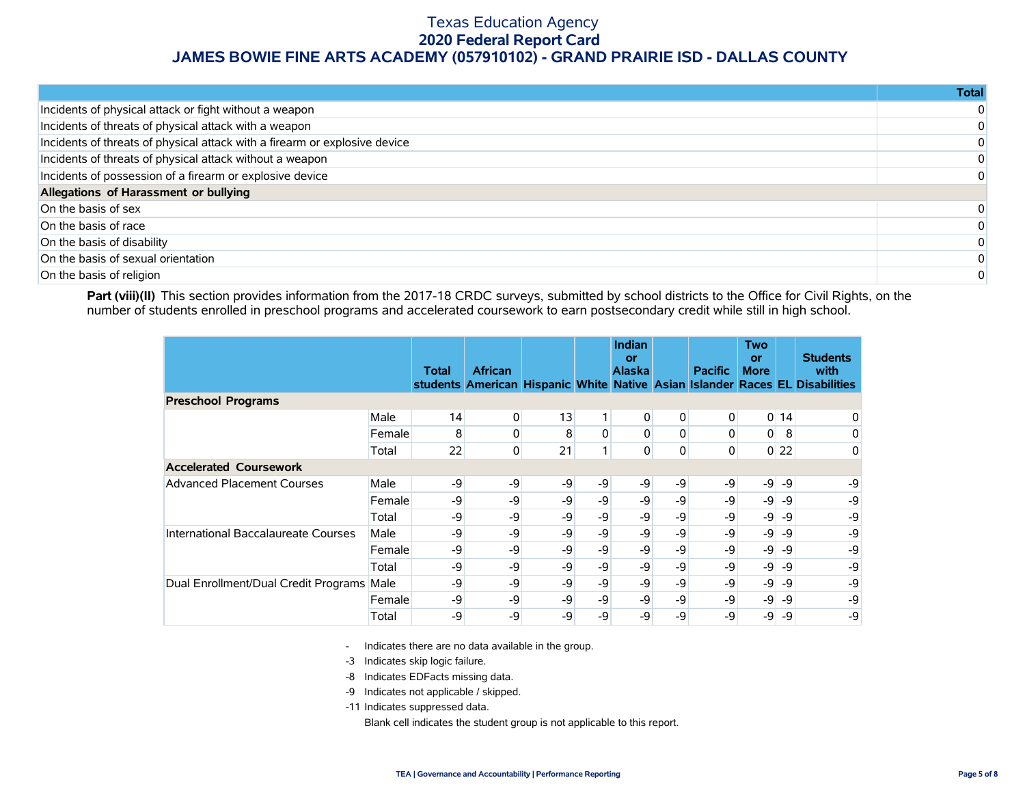|                                                                            | Totall         |
|----------------------------------------------------------------------------|----------------|
| Incidents of physical attack or fight without a weapon                     | $\overline{0}$ |
| Incidents of threats of physical attack with a weapon                      | $\Omega$       |
| Incidents of threats of physical attack with a firearm or explosive device | $\Omega$       |
| Incidents of threats of physical attack without a weapon                   | $\Omega$       |
| Incidents of possession of a firearm or explosive device                   | $\Omega$       |
| Allegations of Harassment or bullying                                      |                |
| On the basis of sex                                                        | $\Omega$       |
| On the basis of race                                                       | $\Omega$       |
| On the basis of disability                                                 | $\Omega$       |
| On the basis of sexual orientation                                         | $\Omega$       |
| On the basis of religion                                                   | $\Omega$       |

Part (viii)(II) This section provides information from the 2017-18 CRDC surveys, submitted by school districts to the Office for Civil Rights, on the number of students enrolled in preschool programs and accelerated coursework to earn postsecondary credit while still in high school.

|                                           |        | <b>Total</b> | <b>African</b> |    |      | <b>Indian</b><br>or<br><b>Alaska</b> |                | <b>Pacific</b> | <b>Two</b><br>or<br><b>More</b> |        | <b>Students</b><br>with<br>students American Hispanic White Native Asian Islander Races EL Disabilities |
|-------------------------------------------|--------|--------------|----------------|----|------|--------------------------------------|----------------|----------------|---------------------------------|--------|---------------------------------------------------------------------------------------------------------|
| <b>Preschool Programs</b>                 |        |              |                |    |      |                                      |                |                |                                 |        |                                                                                                         |
|                                           | Male   | 14           | $\overline{0}$ | 13 | 1    | 0                                    | 0              | 0              |                                 | $0$ 14 | 0                                                                                                       |
|                                           | Female | 8            | 0              | 8  | 0    | 0                                    | 0              | 0              | $\overline{0}$                  | 8      | 0                                                                                                       |
|                                           | Total  | 22           | $\overline{0}$ | 21 | 1    | 0                                    | $\overline{0}$ | 0              |                                 | $0$ 22 | 0                                                                                                       |
| <b>Accelerated Coursework</b>             |        |              |                |    |      |                                      |                |                |                                 |        |                                                                                                         |
| <b>Advanced Placement Courses</b>         | Male   | -9           | $-9$           | -9 | $-9$ | -9                                   | -9             | -9             | $-9$                            | -9     | -9                                                                                                      |
|                                           | Female | -9           | -9             | -9 | -9   | -9                                   | -9             | -9             | $-9$                            | -9     | -9                                                                                                      |
|                                           | Total  | -9           | $-9$           | -9 | -9   | -9                                   | -9             | -9             | $-9$                            | -9     | -9                                                                                                      |
| International Baccalaureate Courses       | Male   | -9           | -9             | -9 | -9   | -9                                   | -9             | -9             | $-9$                            | -9     | -9                                                                                                      |
|                                           | Female | -9           | -9             | -9 | -9   | -9                                   | -9             | -9             | $-9$                            | -9     | -9                                                                                                      |
|                                           | Total  | -9           | -9             | -9 | $-9$ | -9                                   | -9             | -9             | $-9$                            | -9     | -9                                                                                                      |
| Dual Enrollment/Dual Credit Programs Male |        | -9           | -9             | -9 | $-9$ | -9                                   | -9             | -9             | $-9$                            | -9     | -9                                                                                                      |
|                                           | Female | -9           | -9             | -9 | -9   | -9                                   | -9             | -9             | $-9$                            | -9     | -9                                                                                                      |
|                                           | Total  | -9           | -9             | -9 | -9   | -9                                   | -9             | -9             | -9                              | -9     | -9                                                                                                      |

- Indicates there are no data available in the group.

-3 Indicates skip logic failure.

- -8 Indicates EDFacts missing data.
- -9 Indicates not applicable / skipped.

-11 Indicates suppressed data.

Blank cell indicates the student group is not applicable to this report.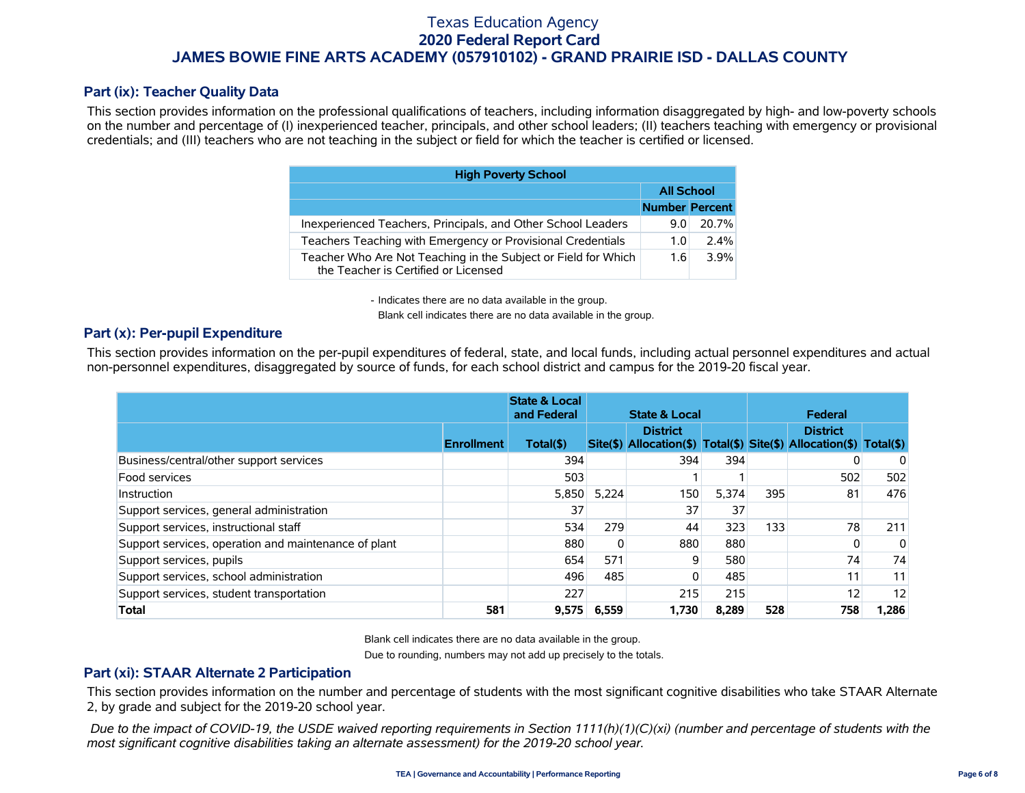### **Part (ix): Teacher Quality Data**

This section provides information on the professional qualifications of teachers, including information disaggregated by high- and low-poverty schools on the number and percentage of (I) inexperienced teacher, principals, and other school leaders; (II) teachers teaching with emergency or provisional credentials; and (III) teachers who are not teaching in the subject or field for which the teacher is certified or licensed.

| <b>High Poverty School</b>                                                                             |                       |       |  |  |  |  |  |  |  |
|--------------------------------------------------------------------------------------------------------|-----------------------|-------|--|--|--|--|--|--|--|
|                                                                                                        | <b>All School</b>     |       |  |  |  |  |  |  |  |
|                                                                                                        | <b>Number Percent</b> |       |  |  |  |  |  |  |  |
| Inexperienced Teachers, Principals, and Other School Leaders                                           | 9.0                   | 20.7% |  |  |  |  |  |  |  |
| Teachers Teaching with Emergency or Provisional Credentials                                            | 1.0                   | 2.4%  |  |  |  |  |  |  |  |
| Teacher Who Are Not Teaching in the Subject or Field for Which<br>the Teacher is Certified or Licensed | 1.6                   | 3.9%  |  |  |  |  |  |  |  |

- Indicates there are no data available in the group.

Blank cell indicates there are no data available in the group.

### **Part (x): Per-pupil Expenditure**

This section provides information on the per-pupil expenditures of federal, state, and local funds, including actual personnel expenditures and actual non-personnel expenditures, disaggregated by source of funds, for each school district and campus for the 2019-20 fiscal year.

|                                                      | <b>State &amp; Local</b><br>and Federal | <b>State &amp; Local</b> |       |                                                                                        | Federal |     |                 |       |
|------------------------------------------------------|-----------------------------------------|--------------------------|-------|----------------------------------------------------------------------------------------|---------|-----|-----------------|-------|
|                                                      | <b>Enrollment</b>                       | Total(\$)                |       | <b>District</b><br>Site(\$) Allocation(\$) Total(\$) Site(\$) Allocation(\$) Total(\$) |         |     | <b>District</b> |       |
| Business/central/other support services              |                                         | 394                      |       | 394                                                                                    | 394     |     |                 | 0     |
| Food services                                        |                                         | 503                      |       |                                                                                        |         |     | 502             | 502   |
| Instruction                                          |                                         | 5,850                    | 5.224 | 150                                                                                    | 5,374   | 395 | 81              | 476   |
| Support services, general administration             |                                         | 37                       |       | 37                                                                                     | 37      |     |                 |       |
| Support services, instructional staff                |                                         | 534                      | 279   | 44                                                                                     | 323     | 133 | 78              | 211   |
| Support services, operation and maintenance of plant |                                         | 880                      |       | 880                                                                                    | 880     |     | 0               | 0     |
| Support services, pupils                             |                                         | 654                      | 571   | 9                                                                                      | 580     |     | 74              | 74    |
| Support services, school administration              |                                         | 496                      | 485   | $\Omega$                                                                               | 485     |     | 11              | 11    |
| Support services, student transportation             |                                         | 227                      |       | 215                                                                                    | 215     |     | 12 <sub>1</sub> | 12    |
| <b>Total</b>                                         | 581                                     | 9,575                    | 6.559 | 1.730                                                                                  | 8.289   | 528 | 758             | 1,286 |

Blank cell indicates there are no data available in the group.

Due to rounding, numbers may not add up precisely to the totals.

### **Part (xi): STAAR Alternate 2 Participation**

This section provides information on the number and percentage of students with the most significant cognitive disabilities who take STAAR Alternate 2, by grade and subject for the 2019-20 school year.

 *Due to the impact of COVID-19, the USDE waived reporting requirements in Section 1111(h)(1)(C)(xi) (number and percentage of students with the most significant cognitive disabilities taking an alternate assessment) for the 2019-20 school year.*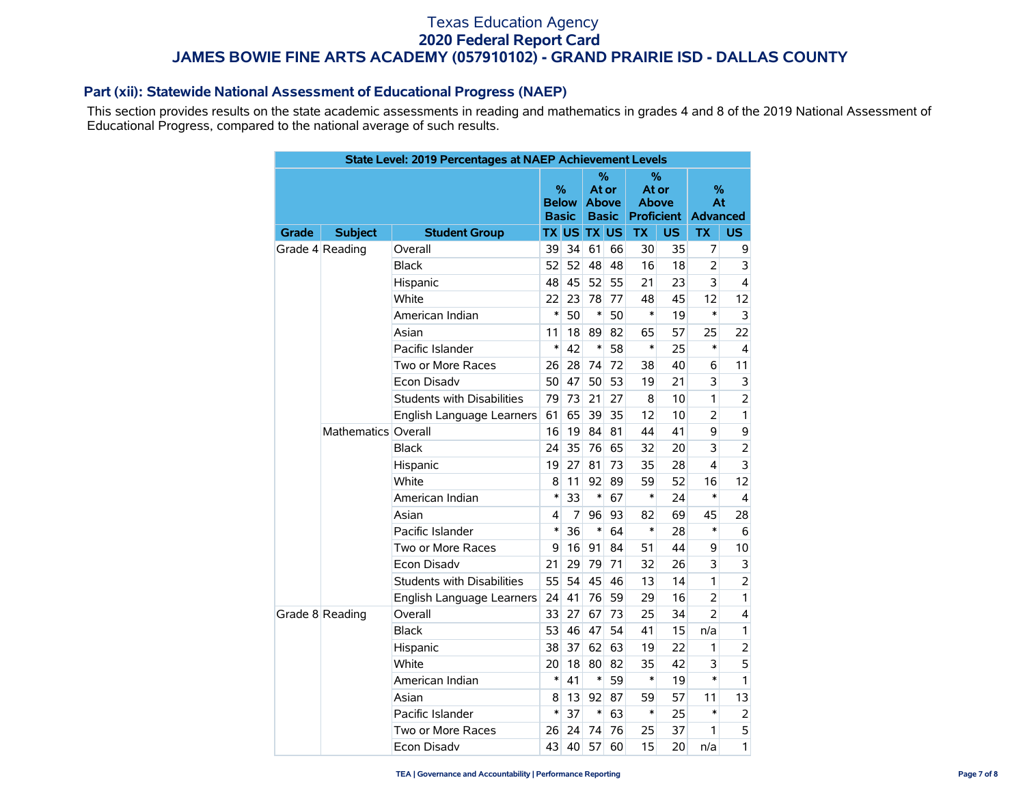### **Part (xii): Statewide National Assessment of Educational Progress (NAEP)**

This section provides results on the state academic assessments in reading and mathematics in grades 4 and 8 of the 2019 National Assessment of Educational Progress, compared to the national average of such results.

|       |                     | State Level: 2019 Percentages at NAEP Achievement Levels |        |                                   |                    |                                            |              |                                 |                            |                         |
|-------|---------------------|----------------------------------------------------------|--------|-----------------------------------|--------------------|--------------------------------------------|--------------|---------------------------------|----------------------------|-------------------------|
|       |                     |                                                          |        | %<br><b>Below</b><br><b>Basic</b> |                    | %<br>At or<br><b>Above</b><br><b>Basic</b> | <b>Above</b> | %<br>At or<br><b>Proficient</b> | %<br>At<br><b>Advanced</b> |                         |
| Grade | <b>Subject</b>      | <b>Student Group</b>                                     |        |                                   | <b>TX US TX US</b> |                                            | <b>TX</b>    | US.                             | <b>TX</b>                  | US                      |
|       | Grade 4 Reading     | Overall                                                  | 39     | 34                                | 61                 | 66                                         | 30           | 35                              | 7                          | 9                       |
|       |                     | <b>Black</b>                                             | 52     | 52                                | 48                 | 48                                         | 16           | 18                              | $\overline{2}$             | 3                       |
|       |                     | 48<br>Hispanic                                           |        | 45                                | 52                 | 55                                         | 21           | 23                              | 3                          | $\overline{\mathbf{4}}$ |
|       |                     | White<br>22                                              |        | 23                                | 78                 | 77                                         | 48           | 45                              | 12                         | 12                      |
|       |                     | American Indian                                          |        | 50                                | $\ast$             | 50                                         | $\ast$       | 19                              | $\ast$                     | 3                       |
|       |                     | Asian                                                    | 11     | 18                                | 89                 | 82                                         | 65           | 57                              | 25                         | 22                      |
|       |                     | Pacific Islander                                         | $\ast$ | 42                                | $\ast$             | 58                                         | $\ast$       | 25                              | $\ast$                     | 4                       |
|       |                     | Two or More Races                                        | 26     | 28                                | 74                 | 72                                         | 38           | 40                              | 6                          | 11                      |
|       |                     | <b>Econ Disadv</b>                                       | 50     | 47                                | 50                 | 53                                         | 19           | 21                              | 3                          | 3                       |
|       |                     | <b>Students with Disabilities</b>                        | 79     | 73                                | 21                 | 27                                         | 8            | 10                              | 1                          | $\overline{2}$          |
|       |                     | English Language Learners                                | 61     | 65                                | 39                 | 35                                         | 12           | 10                              | $\overline{2}$             | 1                       |
|       | Mathematics Overall |                                                          | 16     | 19                                | 84                 | 81                                         | 44           | 41                              | 9                          | 9                       |
|       |                     | <b>Black</b>                                             | 24     | 35                                | 76                 | 65                                         | 32           | 20                              | 3                          | $\overline{2}$          |
|       |                     | Hispanic                                                 | 19     | 27                                | 81                 | 73                                         | 35           | 28                              | $\overline{\mathbf{4}}$    | 3                       |
|       |                     | White                                                    | 8      | 11                                | 92                 | 89                                         | 59           | 52                              | 16                         | 12                      |
|       |                     | American Indian                                          | $\ast$ | 33                                | $\ast$             | 67                                         | $\ast$       | 24                              | $\ast$                     | $\overline{4}$          |
|       |                     | Asian                                                    | 4      | 7                                 | 96                 | 93                                         | 82           | 69                              | 45                         | 28                      |
|       |                     | Pacific Islander                                         | $\ast$ | 36                                | $\ast$             | 64                                         | $\ast$       | 28                              | $\ast$                     | 6                       |
|       |                     | Two or More Races                                        | 9      | 16                                | 91                 | 84                                         | 51           | 44                              | 9                          | 10                      |
|       |                     | Econ Disadv                                              | 21     | 29                                | 79                 | 71                                         | 32           | 26                              | 3                          | 3                       |
|       |                     | <b>Students with Disabilities</b>                        | 55     | 54                                | 45                 | 46                                         | 13           | 14                              | 1                          | $\overline{2}$          |
|       |                     | English Language Learners                                | 24     | 41                                | 76                 | 59                                         | 29           | 16                              | $\overline{2}$             | 1                       |
|       | Grade 8 Reading     | Overall                                                  | 33     | 27                                | 67                 | 73                                         | 25           | 34                              | $\overline{2}$             | 4                       |
|       |                     | <b>Black</b>                                             | 53     | 46                                | 47                 | 54                                         | 41           | 15                              | n/a                        | 1                       |
|       |                     | Hispanic                                                 | 38     | 37                                | 62                 | 63                                         | 19           | 22                              | 1                          | $\overline{2}$          |
|       |                     | White                                                    | 20     | 18                                | 80                 | 82                                         | 35           | 42                              | 3                          | 5                       |
|       |                     | American Indian                                          | *      | 41                                | $\ast$             | 59                                         | *            | 19                              | $\ast$                     | 1                       |
|       |                     | Asian                                                    | 8      | 13                                | 92                 | 87                                         | 59           | 57                              | 11                         | 13                      |
|       |                     | Pacific Islander                                         | $\ast$ | 37                                | $\ast$             | 63                                         | $\ast$       | 25                              | $\ast$                     | 2                       |
|       |                     | Two or More Races                                        | 26     | 24                                | 74                 | 76                                         | 25           | 37                              | 1                          | 5                       |
|       |                     | Econ Disadv                                              | 43     | 40                                | 57                 | 60                                         | 15           | 20                              | n/a                        | 1                       |